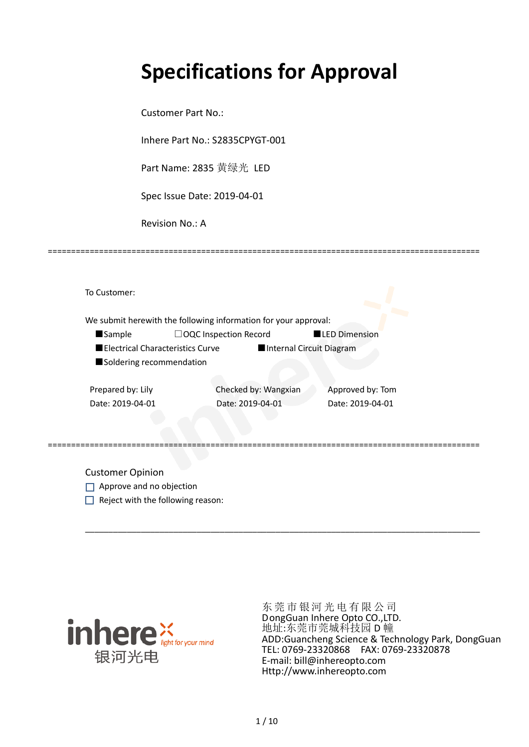# **Specifications for Approval**

Customer Part No.:

Inhere Part No.: S2835CPYGT-001

Part Name: 2835 黄绿光 LED

Spec Issue Date: 2019-04-01

Revision No.: A

|                          | We submit herewith the following information for your approval: |                          |
|--------------------------|-----------------------------------------------------------------|--------------------------|
| <b>Sample</b>            | $\Box$ OQC Inspection Record                                    | <b>LED Dimension</b>     |
|                          | Electrical Characteristics Curve                                | Internal Circuit Diagram |
| Soldering recommendation |                                                                 |                          |
| Prepared by: Lily        | Checked by: Wangxian                                            | Approved by: Tom         |
| Date: 2019-04-01         | Date: 2019-04-01                                                | Date: 2019-04-01         |

\_\_\_\_\_\_\_\_\_\_\_\_\_\_\_\_\_\_\_\_\_\_\_\_\_\_\_\_\_\_\_\_\_\_\_\_\_\_\_\_\_\_\_\_\_\_\_\_\_\_\_\_\_\_\_\_\_\_\_\_\_\_\_\_\_\_\_\_\_\_\_\_\_\_\_\_\_\_\_\_\_\_\_\_\_

=============================================================================================

Customer Opinion

- Approve and no objection
- $\Box$  Reject with the following reason:



东莞市银河光电有限公司 DongGuan Inhere Opto CO.,LTD. 地址:东莞市莞城科技园 D 幢 ADD:Guancheng Science & Technology Park, DongGuan TEL: 0769-23320868 FAX: 0769-23320878 E-mail: bill@inhereopto.com Http://www.inhereopto.com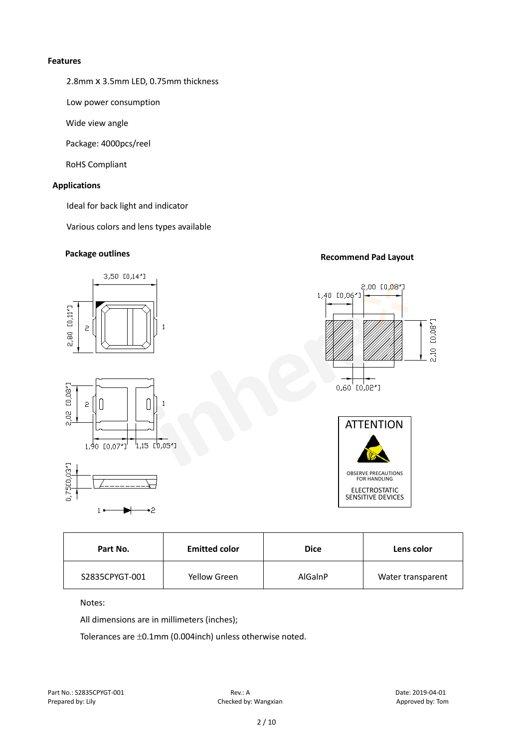#### **Features**

2.8mm x 3.5mm LED, 0.75mm thickness

Low power consumption

Wide view angle

Package: 4000pcs/reel

RoHS Compliant

#### **Applications**

Ideal for back light and indicator

Various colors and lens types available

### **Package outlines Recommend Pad Layout**



| Part No.       | <b>Emitted color</b> | <b>Dice</b> | Lens color        |
|----------------|----------------------|-------------|-------------------|
| S2835CPYGT-001 | Yellow Green         | AlGaInP     | Water transparent |

Notes:

All dimensions are in millimeters (inches);

Tolerances are ±0.1mm (0.004inch) unless otherwise noted.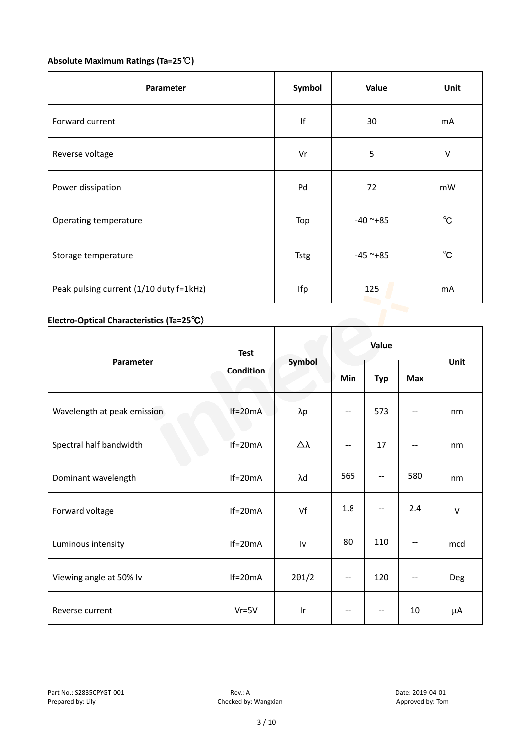#### **Absolute Maximum Ratings (Ta=25**℃**)**

| Parameter                               | Symbol      | Value         | Unit           |
|-----------------------------------------|-------------|---------------|----------------|
| Forward current                         | $\sf lf$    | 30            | mA             |
| Reverse voltage                         | Vr          | 5             | $\vee$         |
| Power dissipation                       | Pd          | 72            | mW             |
| Operating temperature                   | Top         | $-40$ ~+85    | $^{\circ}$ C   |
| Storage temperature                     | <b>Tstg</b> | $-45$ ~ $+85$ | $^{\circ}$ C   |
| Peak pulsing current (1/10 duty f=1kHz) | Ifp         | 125           | m <sub>A</sub> |

#### **Electro-Optical Characteristics (Ta=25**℃)

|                             | <b>Test</b><br><b>Condition</b> | Symbol                  | Value                    |                          |            |        |
|-----------------------------|---------------------------------|-------------------------|--------------------------|--------------------------|------------|--------|
| Parameter                   |                                 |                         | Min                      | <b>Typ</b>               | <b>Max</b> | Unit   |
| Wavelength at peak emission | $If=20mA$                       | $\lambda p$             | $\overline{\phantom{a}}$ | 573                      | $-$        | nm     |
| Spectral half bandwidth     | e a<br>$If=20mA$                | Δλ                      | $- -$                    | 17                       | --         | nm     |
| Dominant wavelength         | $If=20mA$                       | λd                      | 565                      | $- -$                    | 580        | nm     |
| Forward voltage             | $If=20mA$                       | Vf                      | 1.8                      | $- -$                    | 2.4        | $\vee$ |
| Luminous intensity          | $If=20mA$                       | Iv                      | 80                       | 110                      | --         | mcd    |
| Viewing angle at 50% lv     | $If=20mA$                       | $2\theta$ 1/2           | $- -$                    | 120                      | --         | Deg    |
| Reverse current             | $Vr = 5V$                       | $\mathsf{I} \mathsf{r}$ | --                       | $\overline{\phantom{a}}$ | 10         | μA     |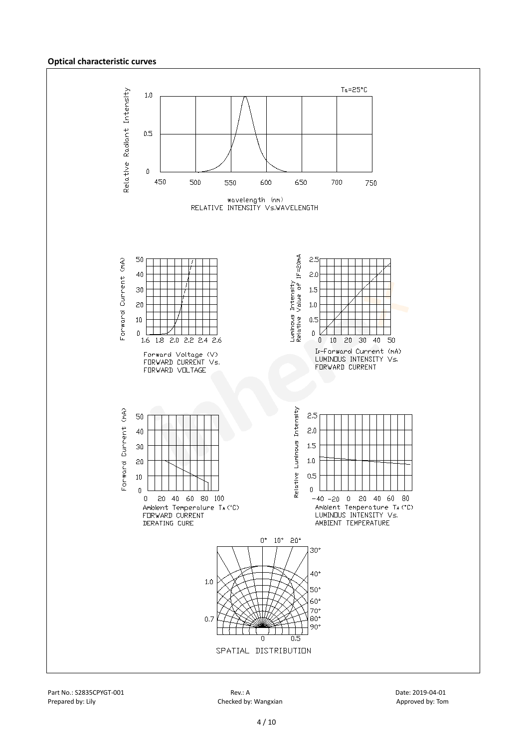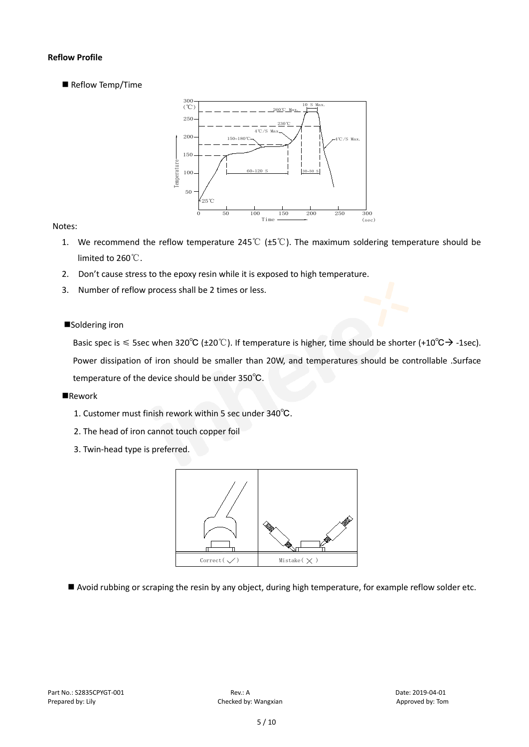#### **Reflow Profile**

Reflow Temp/Time



#### Notes:

- 1. We recommend the reflow temperature 245℃ (±5℃). The maximum soldering temperature should be limited to 260℃.
- 2. Don't cause stress to the epoxy resin while it is exposed to high temperature.
- 3. Number of reflow process shall be 2 times or less.

#### ■Soldering iron

Basic spec is  $\leq$  5sec when 320°C (±20°C). If temperature is higher, time should be shorter (+10°C $\rightarrow$ -1sec). Power dissipation of iron should be smaller than 20W, and temperatures should be controllable .Surface temperature of the device should be under 350℃.

#### **Rework**

- 1. Customer must finish rework within 5 sec under 340℃.
- 2. The head of iron cannot touch copper foil
- 3. Twin-head type is preferred.



Avoid rubbing or scraping the resin by any object, during high temperature, for example reflow solder etc.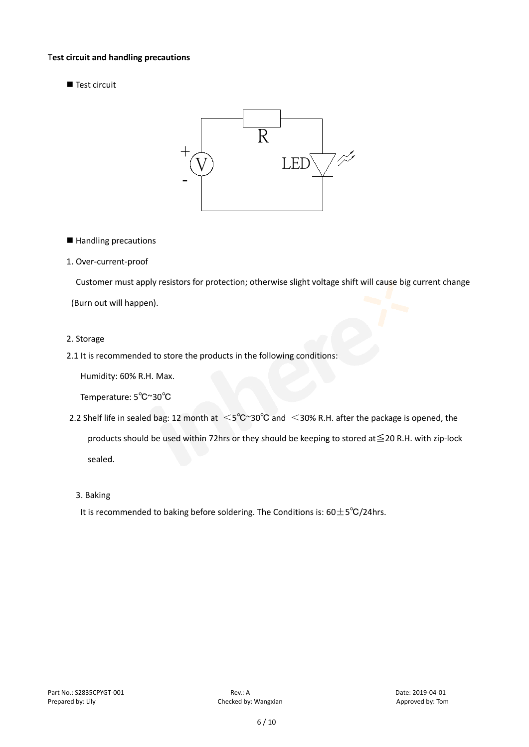#### T**est circuit and handling precautions**

Test circuit



■ Handling precautions

#### 1. Over-current-proof

Customer must apply resistors for protection; otherwise slight voltage shift will cause big current change

(Burn out will happen).

#### 2. Storage

2.1 It is recommended to store the products in the following conditions:

Humidity: 60% R.H. Max.

Temperature: 5℃~30℃

- 2.2 Shelf life in sealed bag: 12 month at <5℃~30°C and <30% R.H. after the package is opened, the products should be used within 72hrs or they should be keeping to stored at≦20 R.H. with zip-lock sealed.
	- 3. Baking

It is recommended to baking before soldering. The Conditions is:  $60±5°C/24$ hrs.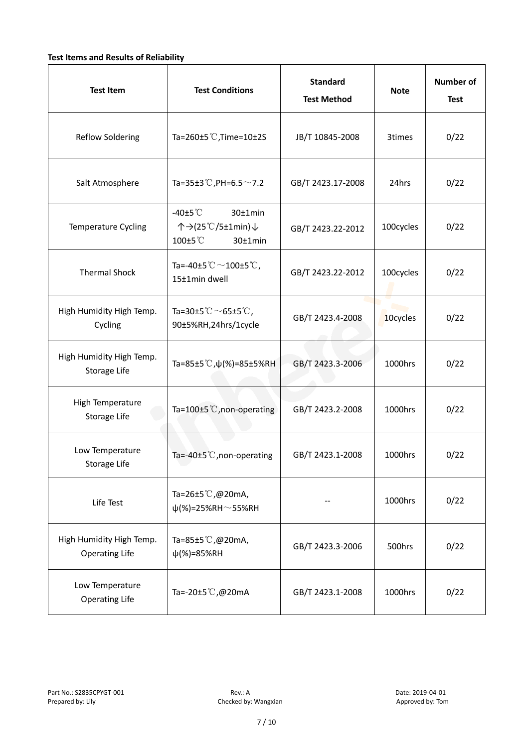#### **Test Items and Results of Reliability**

| <b>Test Item</b>                                  | <b>Test Conditions</b>                                                         | <b>Standard</b><br><b>Test Method</b> |           | <b>Number of</b><br><b>Test</b> |
|---------------------------------------------------|--------------------------------------------------------------------------------|---------------------------------------|-----------|---------------------------------|
| <b>Reflow Soldering</b>                           | Ta=260 $\pm$ 5 °C, Time=10 $\pm$ 2S                                            | JB/T 10845-2008                       | 3times    | 0/22                            |
| Salt Atmosphere                                   | Ta=35±3°C, PH=6.5 $\sim$ 7.2                                                   | GB/T 2423.17-2008                     | 24hrs     | 0/22                            |
| Temperature Cycling                               | -40 $±5^{\circ}$ C<br>$30±1$ min<br>个→(25℃/5±1min)↓<br>100±5°C<br>$30±1$ min   | GB/T 2423.22-2012                     | 100cycles | 0/22                            |
| <b>Thermal Shock</b>                              | Ta=-40±5 $\degree \text{C}$ $\sim$ 100±5 $\degree \text{C}$ ,<br>15±1min dwell | GB/T 2423.22-2012                     | 100cycles | 0/22                            |
| High Humidity High Temp.<br>Cycling               | Ta=30±5 °C $\sim$ 65±5 °C,<br>90±5%RH,24hrs/1cycle                             | GB/T 2423.4-2008                      | 10cycles  | 0/22                            |
| High Humidity High Temp.<br>Storage Life          | Ta=85±5 °C, $\psi$ (%)=85±5%RH                                                 | GB/T 2423.3-2006                      | 1000hrs   | 0/22                            |
| High Temperature<br><b>Storage Life</b>           | Ta=100±5°C, non-operating                                                      | GB/T 2423.2-2008                      | 1000hrs   | 0/22                            |
| Low Temperature<br>Storage Life                   | Ta=-40±5℃, non-operating                                                       | GB/T 2423.1-2008                      | 1000hrs   | 0/22                            |
| Life Test                                         | Ta=26±5℃,@20mA,<br>$\psi$ (%)=25%RH~55%RH                                      |                                       | 1000hrs   | 0/22                            |
| High Humidity High Temp.<br><b>Operating Life</b> | Ta=85±5 $\degree$ C, @20mA,<br>$\psi$ (%)=85%RH                                | GB/T 2423.3-2006                      | 500hrs    | 0/22                            |
| Low Temperature<br><b>Operating Life</b>          | Ta=-20±5℃,@20mA                                                                | GB/T 2423.1-2008                      | 1000hrs   | 0/22                            |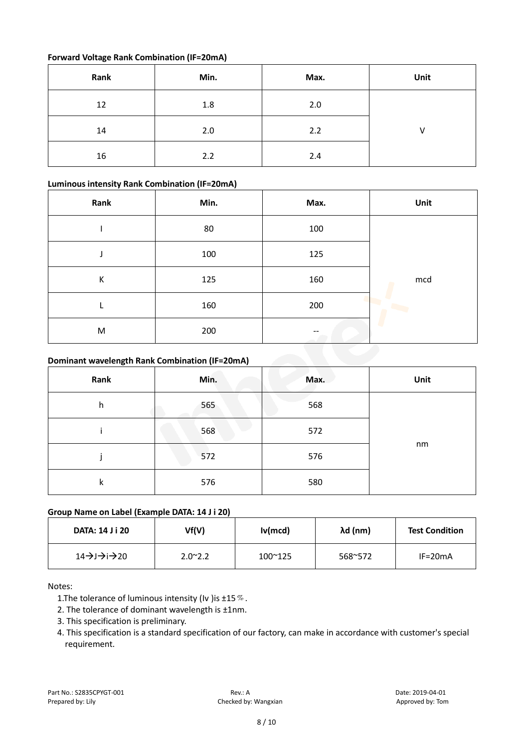#### **Forward Voltage Rank Combination (IF=20mA)**

| Rank | Min. | Max. | Unit         |
|------|------|------|--------------|
| 12   | 1.8  | 2.0  |              |
| 14   | 2.0  | 2.2  | $\mathsf{V}$ |
| 16   | 2.2  | 2.4  |              |

#### **Luminous intensity Rank Combination (IF=20mA)**

| Rank | Min. | Max. | Unit |
|------|------|------|------|
|      | 80   | 100  |      |
|      | 100  | 125  |      |
| К    | 125  | 160  | mcd  |
|      | 160  | 200  |      |
| M    | 200  |      |      |

#### **Dominant wavelength Rank Combination (IF=20mA)**

| Rank | Min.<br>Max. |     | Unit |
|------|--------------|-----|------|
| h    | 565          | 568 |      |
|      | 568          | 572 |      |
|      | 572          | 576 | nm   |
| k    | 576          | 580 |      |

#### **Group Name on Label (Example DATA: 14 J i 20)**

| <b>DATA: 14 J i 20</b> | Vf(V)           | Iv(mcd)          | λd (nm) | <b>Test Condition</b> |
|------------------------|-----------------|------------------|---------|-----------------------|
| 14→J→i→20              | $2.0^{\sim}2.2$ | $100^{\circ}125$ | 568~572 | $IF=20mA$             |

#### Notes:

1. The tolerance of luminous intensity (Iv ) is  $\pm 15\%$ .

- 2. The tolerance of dominant wavelength is ±1nm.
- 3. This specification is preliminary.
- 4. This specification is a standard specification of our factory, can make in accordance with customer's special requirement.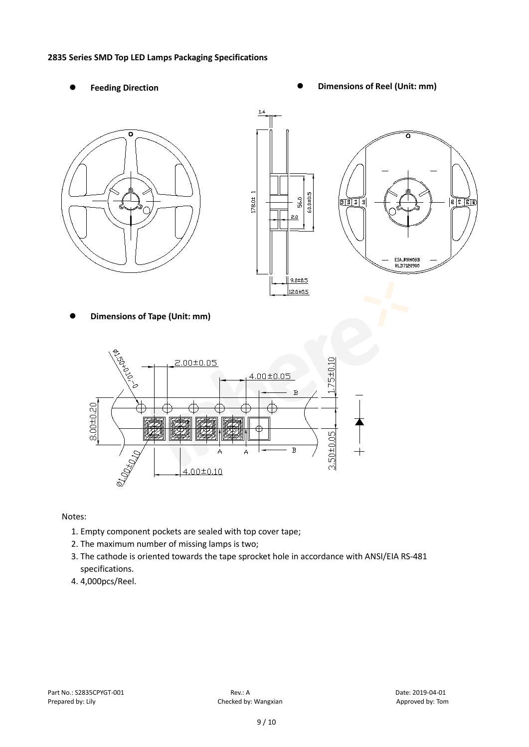#### **2835 Series SMD Top LED Lamps Packaging Specifications**

- 
- Feeding Direction **Constanting Construction Constanting Operations Construction Constanting Construction Constanting Construction**







**Dimensions of Tape (Unit: mm)**



Notes:

- 1. Empty component pockets are sealed with top cover tape;
- 2. The maximum number of missing lamps is two;
- 3. The cathode is oriented towards the tape sprocket hole in accordance with ANSI/EIA RS-481 specifications.
- 4. 4,000pcs/Reel.